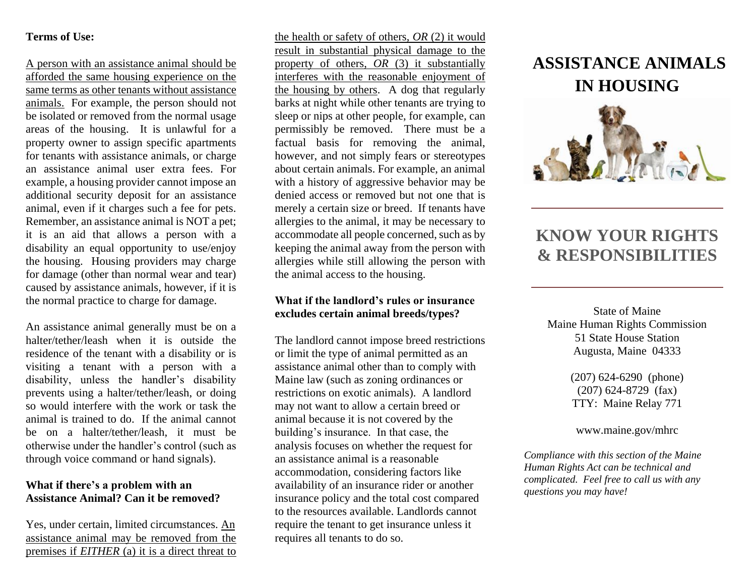### **Terms of Use:**

A person with an assistance animal should be afforded the same housing experience on the same terms as other tenants without assistance animals. For example, the person should not be isolated or removed from the normal usage areas of the housing. It is unlawful for a property owner to assign specific apartments for tenants with assistance animals, or charge an assistance animal user extra fees. For example, a housing provider cannot impose an additional security deposit for an assistance animal, even if it charges such a fee for pets. Remember, an assistance animal is NOT a pet; it is an aid that allows a person with a disability an equal opportunity to use/enjoy the housing. Housing providers may charge for damage (other than normal wear and tear) caused by assistance animals, however, if it is the normal practice to charge for damage.

An assistance animal generally must be on a halter/tether/leash when it is outside the residence of the tenant with a disability or is visiting a tenant with a person with a disability, unless the handler's disability prevents using a halter/tether/leash, or doing so would interfere with the work or task the animal is trained to do. If the animal cannot be on a halter/tether/leash, it must be otherwise under the handler's control (such as through voice command or hand signals).

### **What if there's a problem with an Assistance Animal? Can it be removed?**

Yes, under certain, limited circumstances. An assistance animal may be removed from the premises if *EITHER* (a) it is a direct threat to the health or safety of others, *OR* (2) it would result in substantial physical damage to the property of others, *OR* (3) it substantially interferes with the reasonable enjoyment of the housing by others. A dog that regularly barks at night while other tenants are trying to sleep or nips at other people, for example, can permissibly be removed. There must be a factual basis for removing the animal, however, and not simply fears or stereotypes about certain animals. For example, an animal with a history of aggressive behavior may be denied access or removed but not one that is merely a certain size or breed. If tenants have allergies to the animal, it may be necessary to accommodate all people concerned, such as by keeping the animal away from the person with allergies while still allowing the person with the animal access to the housing.

#### **What if the landlord's rules or insurance excludes certain animal breeds/types?**

The landlord cannot impose breed restrictions or limit the type of animal permitted as an assistance animal other than to comply with Maine law (such as zoning ordinances or restrictions on exotic animals). A landlord may not want to allow a certain breed or animal because it is not covered by the building's insurance. In that case, the analysis focuses on whether the request for an assistance animal is a reasonable accommodation, considering factors like availability of an insurance rider or another insurance policy and the total cost compared to the resources available. Landlords cannot require the tenant to get insurance unless it requires all tenants to do so.

# **ASSISTANCE ANIMALS IN HOUSING**



## **KNOW YOUR RIGHTS & RESPONSIBILITIES**

State of Maine Maine Human Rights Commission 51 State House Station Augusta, Maine 04333

> (207) 624-6290 (phone) (207) 624-8729 (fax) TTY: Maine Relay 771

www.maine.gov/mhrc

*Compliance with this section of the Maine Human Rights Act can be technical and complicated. Feel free to call us with any questions you may have!*